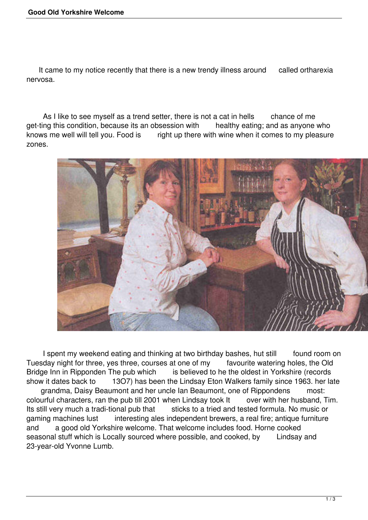It came to my notice recently that there is a new trendy illness around called ortharexia nervosa.

As I like to see myself as a trend setter, there is not a cat in hells chance of me get-ting this condition, because its an obsession with healthy eating; and as anyone who knows me well will tell you. Food is right up there with wine when it comes to my pleasure zones.



I spent my weekend eating and thinking at two birthday bashes, hut still found room on Tuesday night for three, yes three, courses at one of my favourite watering holes, the Old Bridge Inn in Ripponden The pub which is believed to he the oldest in Yorkshire (records show it dates back to 13O7) has been the Lindsay Eton Walkers family since 1963. her late grandma, Daisy Beaumont and her uncle Ian Beaumont, one of Rippondens most: colourful characters, ran the pub till 2001 when Lindsay took It over with her husband, Tim. Its still very much a tradi-tional pub that sticks to a tried and tested formula. No music or gaming machines lust interesting ales independent brewers, a real fire; antique furniture and a good old Yorkshire welcome. That welcome includes food. Horne cooked seasonal stuff which is Locally sourced where possible, and cooked, by Lindsay and 23-year-old Yvonne Lumb.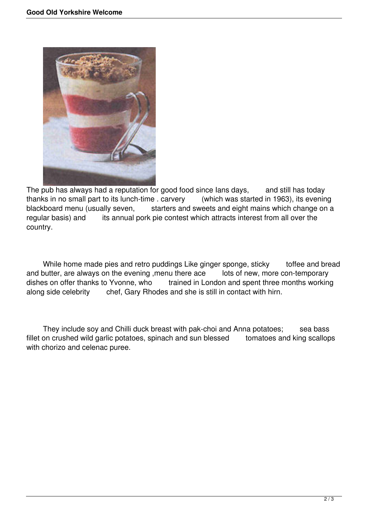

The pub has always had a reputation for good food since lans days, and still has today thanks in no small part to its lunch-time . carvery (which was started in 1963), its evening blackboard menu (usually seven, starters and sweets and eight mains which change on a regular basis) and its annual pork pie contest which attracts interest from all over the country.

While home made pies and retro puddings Like ginger sponge, sticky toffee and bread and butter, are always on the evening , menu there ace lots of new, more con-temporary dishes on offer thanks to Yvonne, who trained in London and spent three months working along side celebrity chef, Gary Rhodes and she is still in contact with hirn.

They include soy and Chilli duck breast with pak-choi and Anna potatoes; sea bass fillet on crushed wild garlic potatoes, spinach and sun blessed tomatoes and king scallops with chorizo and celenac puree.